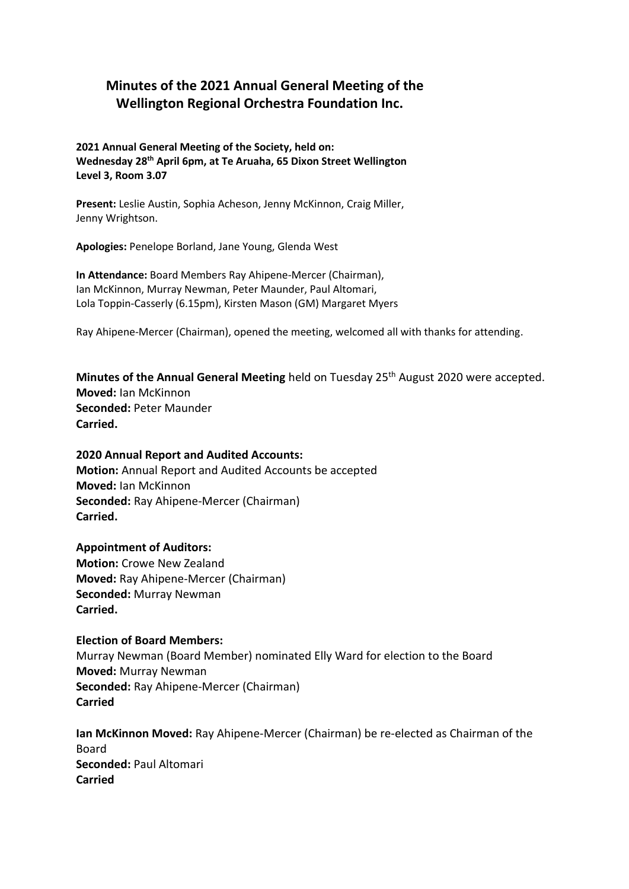# **Minutes of the 2021 Annual General Meeting of the Wellington Regional Orchestra Foundation Inc.**

**2021 Annual General Meeting of the Society, held on: Wednesday 28th April 6pm, at Te Aruaha, 65 Dixon Street Wellington Level 3, Room 3.07**

**Present:** Leslie Austin, Sophia Acheson, Jenny McKinnon, Craig Miller, Jenny Wrightson.

**Apologies:** Penelope Borland, Jane Young, Glenda West

**In Attendance:** Board Members Ray Ahipene-Mercer (Chairman), Ian McKinnon, Murray Newman, Peter Maunder, Paul Altomari, Lola Toppin-Casserly (6.15pm), Kirsten Mason (GM) Margaret Myers

Ray Ahipene-Mercer (Chairman), opened the meeting, welcomed all with thanks for attending.

**Minutes of the Annual General Meeting** held on Tuesday 25<sup>th</sup> August 2020 were accepted. **Moved:** Ian McKinnon **Seconded:** Peter Maunder **Carried.**

# **2020 Annual Report and Audited Accounts: Motion:** Annual Report and Audited Accounts be accepted **Moved:** Ian McKinnon **Seconded:** Ray Ahipene-Mercer (Chairman) **Carried.**

# **Appointment of Auditors: Motion:** Crowe New Zealand **Moved:** Ray Ahipene-Mercer (Chairman) **Seconded:** Murray Newman **Carried.**

#### **Election of Board Members:**

Murray Newman (Board Member) nominated Elly Ward for election to the Board **Moved:** Murray Newman **Seconded:** Ray Ahipene-Mercer (Chairman) **Carried**

**Ian McKinnon Moved:** Ray Ahipene-Mercer (Chairman) be re-elected as Chairman of the Board **Seconded:** Paul Altomari **Carried**